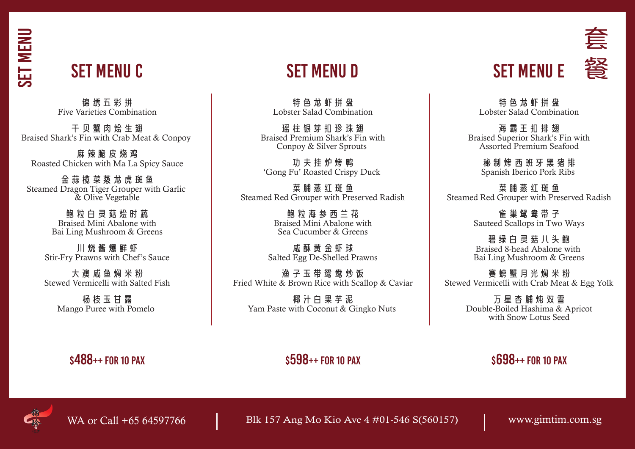SET menu

## Set Menu C

锦绣五彩拼 Five Varieties Combination

干贝蟹肉烩生翅 Braised Shark's Fin with Crab Meat & Conpoy

麻 辣 脆 皮 烧 鸡 Roasted Chicken with Ma La Spicy Sauce

金蒜榄菜蒸龙虎斑鱼 Steamed Dragon Tiger Grouper with Garlic & Olive Vegetable

> 鲍粒白灵菇烩时蔬 Braised Mini Abalone with Bai Ling Mushroom & Greens

川烧酱爆鲜虾 Stir-Fry Prawns with Chef's Sauce

大澳咸鱼焖米粉 Stewed Vermicelli with Salted Fish

杨枝玉甘露 Mango Puree with Pomelo

特色龙虾拼盘 Lobster Salad Combination

瑶柱银芽扣珍珠翅 Braised Premium Shark's Fin with Conpoy & Silver Sprouts

功夫挂炉烤鸭 'Gong Fu' Roasted Crispy Duck

菜 脯 蒸 红 斑 鱼 Steamed Red Grouper with Preserved Radish

> 鲍粒海参西兰花 Braised Mini Abalone with Sea Cucumber & Greens

咸酥黄金虾球 Salted Egg De-Shelled Prawns

渔子玉带鸳鸯炒饭 Fried White & Brown Rice with Scallop & Caviar

椰汁白果芋泥 Yam Paste with Coconut & Gingko Nuts

## SET MENU D SET MENU E 答

套

特色龙虾拼盘 Lobster Salad Combination

海霸王扣排翅 Braised Superior Shark's Fin with Assorted Premium Seafood

> 秘制烤西班牙黑猪排 Spanish Iberico Pork Ribs

菜 脯 蒸 红 斑 鱼 Steamed Red Grouper with Preserved Radish

> 雀巢鸳鸯带子 Sauteed Scallops in Two Ways

> 碧绿白灵菇八头鲍 Braised 8-head Abalone with Bai Ling Mushroom & Greens

赛螃蟹月光焖米粉 Stewed Vermicelli with Crab Meat & Egg Yolk

> 万星杏脯炖双雪 Double-Boiled Hashima & Apricot with Snow Lotus Seed

### $\texttt{s488++}$  for 10 pax  $\texttt{s598++}$  for 10 pax  $\texttt{s598++}$  for 10 pax  $\texttt{s698++}$  for 10 pax



WA or Call +65 64597766 Blk 157 Ang Mo Kio Ave 4 #01-546 S(560157) www.gimtim.com.sg